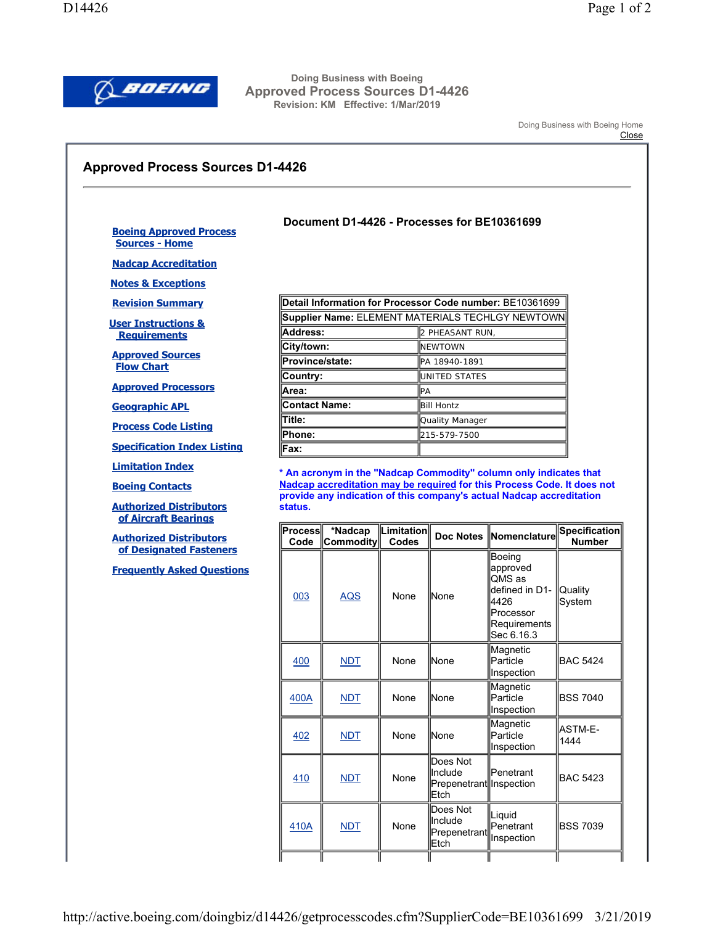

**Doing Business with Boeing Approved Process Sources D1-4426 Revision: KM Effective: 1/Mar/2019** 

Doing Business with Boeing Home

## **Close**

## **Approved Process Sources D1-4426**

## **Document D1-4426 - Processes for BE10361699**

**Boeing Approved Process Sources - Home**

**Nadcap Accreditation**

**Notes & Exceptions**

**Revision Summary**

**User Instructions & Requirements**

**Approved Sources Flow Chart**

**Approved Processors**

**Geographic APL**

**Process Code Listing**

**Specification Index Listing**

**Limitation Index**

**Boeing Contacts**

**Authorized Distributors of Aircraft Bearings**

**Authorized Distributors of Designated Fasteners**

**Frequently Asked Questions**

| Detail Information for Processor Code number: BE10361699 |                   |  |  |  |  |
|----------------------------------------------------------|-------------------|--|--|--|--|
| Supplier Name: ELEMENT MATERIALS TECHLGY NEWTOWN         |                   |  |  |  |  |
| <b>Address:</b>                                          | 2 PHEASANT RUN,   |  |  |  |  |
| City/town:                                               | <b>INEWTOWN</b>   |  |  |  |  |
| Province/state:                                          | PA 18940-1891     |  |  |  |  |
| Country:                                                 | UNITED STATES     |  |  |  |  |
| Area:                                                    | IРA               |  |  |  |  |
| <b>Contact Name:</b>                                     | <b>Bill Hontz</b> |  |  |  |  |
| Title:                                                   | Quality Manager   |  |  |  |  |
| Phone:                                                   | 215-579-7500      |  |  |  |  |
| Fax:                                                     |                   |  |  |  |  |

**\* An acronym in the "Nadcap Commodity" column only indicates that Nadcap accreditation may be required for this Process Code. It does not provide any indication of this company's actual Nadcap accreditation status.** 

| Process<br>Code | *Nadcap<br>Commodity | Limitation<br>Codes |                                                         | Doc Notes Nomenclature                                                                            | Specification<br><b>Number</b> |
|-----------------|----------------------|---------------------|---------------------------------------------------------|---------------------------------------------------------------------------------------------------|--------------------------------|
| 003             | <b>AQS</b>           | None                | llNone                                                  | Boeing<br>approved<br>QMS as<br>defined in D1-<br>4426<br>Processor<br>Requirements<br>Sec 6.16.3 | <b>Quality</b><br>System       |
| <u>400</u>      | MDT                  | None                | llNone                                                  | Magnetic<br>Particle<br>Inspection                                                                | <b>BAC 5424</b>                |
| 400A            | <b>NDT</b>           | None                | llNone                                                  | Magnetic<br>Particle<br>Inspection                                                                | <b>BSS 7040</b>                |
| <u>402</u>      | <b>NDT</b>           | None                | llNone                                                  | Magnetic<br>Particle<br>Inspection                                                                | ASTM-E-<br>1444                |
| 410             | <b>NDT</b>           | None                | Does Not<br>llnclude<br>Prepenetrant Inspection<br>Etch | <b>Penetrant</b>                                                                                  | <b>BAC 5423</b>                |
| 410A            | <b>NDT</b>           | None                | Does Not<br>linclude<br>Prepenetrant<br>Etch            | Liquid<br>Penetrant<br>Inspection                                                                 | <b>BSS 7039</b>                |
|                 |                      |                     |                                                         |                                                                                                   |                                |